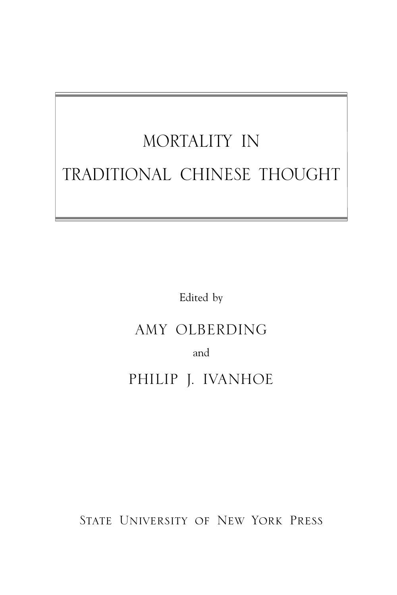# MORTALITY IN TRADITIONAL CHINESE THOUGHT

Edited by

# AMY OLBERDING

and

PHILIP J. IVANHOE

STATE UNIVERSITY OF NEW YORK PRESS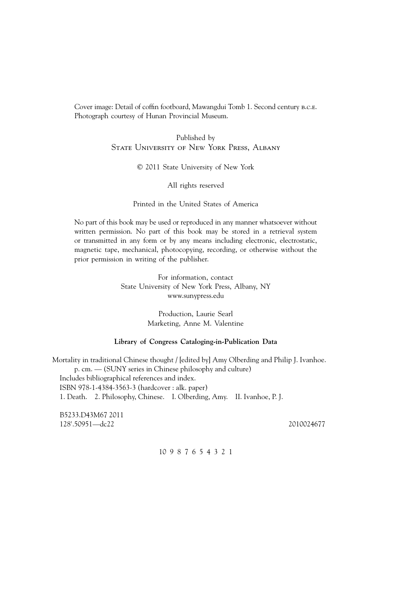Cover image: Detail of coffin footboard, Mawangdui Tomb 1. Second century B.C.E. Photograph courtesy of Hunan Provincial Museum.

> Published by State University of New York Press, Albany

> > © 2011 State University of New York

All rights reserved

Printed in the United States of America

No part of this book may be used or reproduced in any manner whatsoever without written permission. No part of this book may be stored in a retrieval system or transmitted in any form or by any means including electronic, electrostatic, magnetic tape, mechanical, photocopying, recording, or otherwise without the prior permission in writing of the publisher.

> For information, contact State University of New York Press, Albany, NY www.sunypress.edu

> > Production, Laurie Searl Marketing, Anne M. Valentine

#### **Library of Congress Cataloging-in-Publication Data**

Mortality in traditional Chinese thought / [edited by] Amy Olberding and Philip J. Ivanhoe. p. cm. — (SUNY series in Chinese philosophy and culture) Includes bibliographical references and index. ISBN 978-1-4384-3563-3 (hardcover : alk. paper) 1. Death. 2. Philosophy, Chinese. I. Olberding, Amy. II. Ivanhoe, P. J.

 B5233.D43M67 2011 128'.50951—dc22 2010024677

10 9 8 7 6 5 4 3 2 1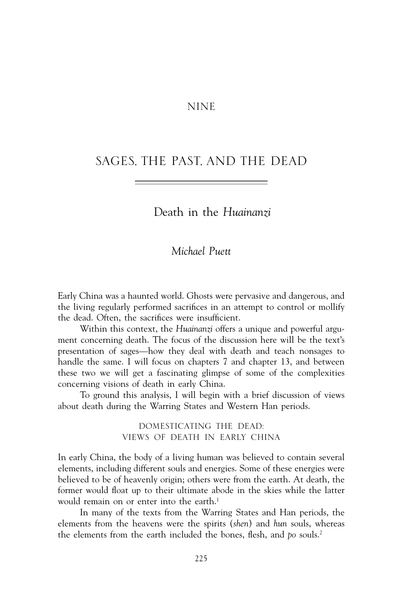#### NINE

## SAGES, THE PAST, AND THE DEAD

## Death in the *Huainanzi*

#### *Michael Puett*

Early China was a haunted world. Ghosts were pervasive and dangerous, and the living regularly performed sacrifices in an attempt to control or mollify the dead. Often, the sacrifices were insufficient.

Within this context, the *Huainanzi* offers a unique and powerful argument concerning death. The focus of the discussion here will be the text's presentation of sages—how they deal with death and teach nonsages to handle the same. I will focus on chapters 7 and chapter 13, and between these two we will get a fascinating glimpse of some of the complexities concerning visions of death in early China.

To ground this analysis, I will begin with a brief discussion of views about death during the Warring States and Western Han periods.

> DOMESTICATING THE DEAD: VIEWS OF DEATH IN EARLY CHINA

In early China, the body of a living human was believed to contain several elements, including different souls and energies. Some of these energies were believed to be of heavenly origin; others were from the earth. At death, the former would float up to their ultimate abode in the skies while the latter would remain on or enter into the earth.<sup>1</sup>

In many of the texts from the Warring States and Han periods, the elements from the heavens were the spirits (*shen*) and *hun* souls, whereas the elements from the earth included the bones, flesh, and *po* souls.<sup>2</sup>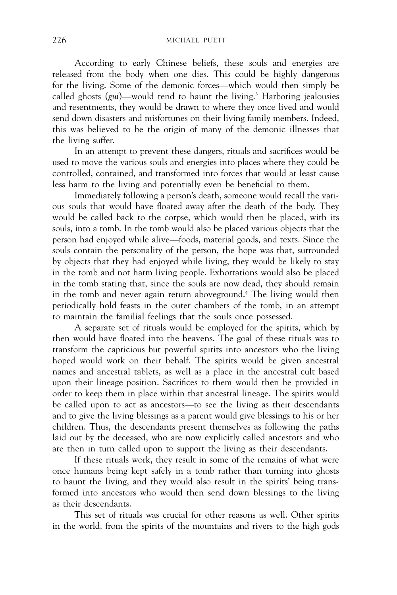According to early Chinese beliefs, these souls and energies are released from the body when one dies. This could be highly dangerous for the living. Some of the demonic forces—which would then simply be called ghosts (*gui*)—would tend to haunt the living.3 Harboring jealousies and resentments, they would be drawn to where they once lived and would send down disasters and misfortunes on their living family members. Indeed, this was believed to be the origin of many of the demonic illnesses that the living suffer.

In an attempt to prevent these dangers, rituals and sacrifices would be used to move the various souls and energies into places where they could be controlled, contained, and transformed into forces that would at least cause less harm to the living and potentially even be beneficial to them.

Immediately following a person's death, someone would recall the various souls that would have floated away after the death of the body. They would be called back to the corpse, which would then be placed, with its souls, into a tomb. In the tomb would also be placed various objects that the person had enjoyed while alive—foods, material goods, and texts. Since the souls contain the personality of the person, the hope was that, surrounded by objects that they had enjoyed while living, they would be likely to stay in the tomb and not harm living people. Exhortations would also be placed in the tomb stating that, since the souls are now dead, they should remain in the tomb and never again return aboveground.4 The living would then periodically hold feasts in the outer chambers of the tomb, in an attempt to maintain the familial feelings that the souls once possessed.

A separate set of rituals would be employed for the spirits, which by then would have floated into the heavens. The goal of these rituals was to transform the capricious but powerful spirits into ancestors who the living hoped would work on their behalf. The spirits would be given ancestral names and ancestral tablets, as well as a place in the ancestral cult based upon their lineage position. Sacrifices to them would then be provided in order to keep them in place within that ancestral lineage. The spirits would be called upon to act as ancestors—to see the living as their descendants and to give the living blessings as a parent would give blessings to his or her children. Thus, the descendants present themselves as following the paths laid out by the deceased, who are now explicitly called ancestors and who are then in turn called upon to support the living as their descendants.

If these rituals work, they result in some of the remains of what were once humans being kept safely in a tomb rather than turning into ghosts to haunt the living, and they would also result in the spirits' being transformed into ancestors who would then send down blessings to the living as their descendants.

This set of rituals was crucial for other reasons as well. Other spirits in the world, from the spirits of the mountains and rivers to the high gods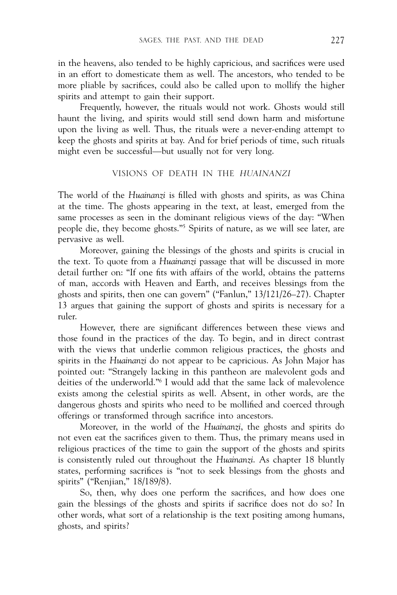in the heavens, also tended to be highly capricious, and sacrifices were used in an effort to domesticate them as well. The ancestors, who tended to be more pliable by sacrifices, could also be called upon to mollify the higher spirits and attempt to gain their support.

Frequently, however, the rituals would not work. Ghosts would still haunt the living, and spirits would still send down harm and misfortune upon the living as well. Thus, the rituals were a never-ending attempt to keep the ghosts and spirits at bay. And for brief periods of time, such rituals might even be successful—but usually not for very long.

#### VISIONS OF DEATH IN THE HUAINANZI

The world of the *Huainanzi* is filled with ghosts and spirits, as was China at the time. The ghosts appearing in the text, at least, emerged from the same processes as seen in the dominant religious views of the day: "When people die, they become ghosts."5 Spirits of nature, as we will see later, are pervasive as well.

Moreover, gaining the blessings of the ghosts and spirits is crucial in the text. To quote from a *Huainanzi* passage that will be discussed in more detail further on: "If one fits with affairs of the world, obtains the patterns of man, accords with Heaven and Earth, and receives blessings from the ghosts and spirits, then one can govern" ("Fanlun," 13/121/26–27). Chapter 13 argues that gaining the support of ghosts and spirits is necessary for a ruler.

However, there are significant differences between these views and those found in the practices of the day. To begin, and in direct contrast with the views that underlie common religious practices, the ghosts and spirits in the *Huainanzi* do not appear to be capricious. As John Major has pointed out: "Strangely lacking in this pantheon are malevolent gods and deities of the underworld."6 I would add that the same lack of malevolence exists among the celestial spirits as well. Absent, in other words, are the dangerous ghosts and spirits who need to be mollified and coerced through offerings or transformed through sacrifice into ancestors.

Moreover, in the world of the *Huainanzi*, the ghosts and spirits do not even eat the sacrifices given to them. Thus, the primary means used in religious practices of the time to gain the support of the ghosts and spirits is consistently ruled out throughout the *Huainanzi*. As chapter 18 bluntly states, performing sacrifices is "not to seek blessings from the ghosts and spirits" ("Renjian," 18/189/8).

So, then, why does one perform the sacrifices, and how does one gain the blessings of the ghosts and spirits if sacrifice does not do so? In other words, what sort of a relationship is the text positing among humans, ghosts, and spirits?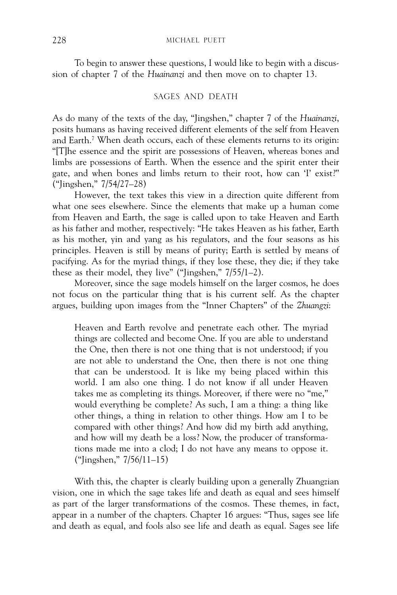To begin to answer these questions, I would like to begin with a discussion of chapter 7 of the *Huainanzi* and then move on to chapter 13.

#### SAGES AND DEATH

As do many of the texts of the day, "Jingshen," chapter 7 of the *Huainanzi*, posits humans as having received different elements of the self from Heaven and Earth.7 When death occurs, each of these elements returns to its origin: "[T]he essence and the spirit are possessions of Heaven, whereas bones and limbs are possessions of Earth. When the essence and the spirit enter their gate, and when bones and limbs return to their root, how can 'I' exist?" ("Jingshen," 7/54/27–28)

However, the text takes this view in a direction quite different from what one sees elsewhere. Since the elements that make up a human come from Heaven and Earth, the sage is called upon to take Heaven and Earth as his father and mother, respectively: "He takes Heaven as his father, Earth as his mother, yin and yang as his regulators, and the four seasons as his principles. Heaven is still by means of purity; Earth is settled by means of pacifying. As for the myriad things, if they lose these, they die; if they take these as their model, they live" ("Jingshen," 7/55/1–2).

Moreover, since the sage models himself on the larger cosmos, he does not focus on the particular thing that is his current self. As the chapter argues, building upon images from the "Inner Chapters" of the *Zhuangzi*:

Heaven and Earth revolve and penetrate each other. The myriad things are collected and become One. If you are able to understand the One, then there is not one thing that is not understood; if you are not able to understand the One, then there is not one thing that can be understood. It is like my being placed within this world. I am also one thing. I do not know if all under Heaven takes me as completing its things. Moreover, if there were no "me," would everything be complete? As such, I am a thing: a thing like other things, a thing in relation to other things. How am I to be compared with other things? And how did my birth add anything, and how will my death be a loss? Now, the producer of transformations made me into a clod; I do not have any means to oppose it. ("Jingshen," 7/56/11–15)

With this, the chapter is clearly building upon a generally Zhuangzian vision, one in which the sage takes life and death as equal and sees himself as part of the larger transformations of the cosmos. These themes, in fact, appear in a number of the chapters. Chapter 16 argues: "Thus, sages see life and death as equal, and fools also see life and death as equal. Sages see life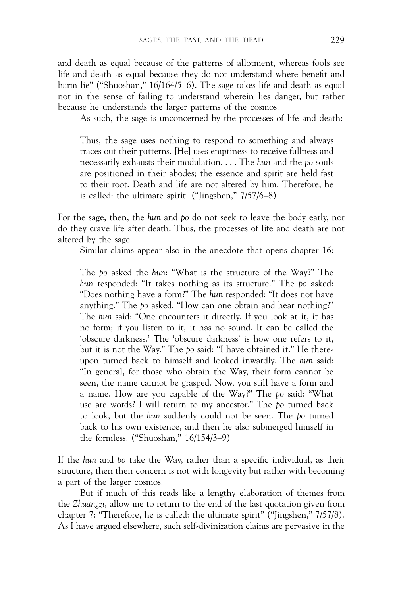and death as equal because of the patterns of allotment, whereas fools see life and death as equal because they do not understand where benefit and harm lie" ("Shuoshan," 16/164/5–6). The sage takes life and death as equal not in the sense of failing to understand wherein lies danger, but rather because he understands the larger patterns of the cosmos.

As such, the sage is unconcerned by the processes of life and death:

Thus, the sage uses nothing to respond to something and always traces out their patterns. [He] uses emptiness to receive fullness and necessarily exhausts their modulation. . . . The *hun* and the *po* souls are positioned in their abodes; the essence and spirit are held fast to their root. Death and life are not altered by him. Therefore, he is called: the ultimate spirit. ("Jingshen," 7/57/6–8)

For the sage, then, the *hun* and *po* do not seek to leave the body early, nor do they crave life after death. Thus, the processes of life and death are not altered by the sage.

Similar claims appear also in the anecdote that opens chapter 16:

The *po* asked the *hun*: "What is the structure of the Way?" The *hun* responded: "It takes nothing as its structure." The *po* asked: "Does nothing have a form?" The *hun* responded: "It does not have anything." The *po* asked: "How can one obtain and hear nothing?" The *hun* said: "One encounters it directly. If you look at it, it has no form; if you listen to it, it has no sound. It can be called the 'obscure darkness.' The 'obscure darkness' is how one refers to it, but it is not the Way." The *po* said: "I have obtained it." He thereupon turned back to himself and looked inwardly. The *hun* said: "In general, for those who obtain the Way, their form cannot be seen, the name cannot be grasped. Now, you still have a form and a name. How are you capable of the Way?" The *po* said: "What use are words? I will return to my ancestor." The *po* turned back to look, but the *hun* suddenly could not be seen. The *po* turned back to his own existence, and then he also submerged himself in the formless. ("Shuoshan," 16/154/3–9)

If the *hun* and *po* take the Way, rather than a specific individual, as their structure, then their concern is not with longevity but rather with becoming a part of the larger cosmos.

But if much of this reads like a lengthy elaboration of themes from the *Zhuangzi*, allow me to return to the end of the last quotation given from chapter 7: "Therefore, he is called: the ultimate spirit" ("Jingshen," 7/57/8). As I have argued elsewhere, such self-divinization claims are pervasive in the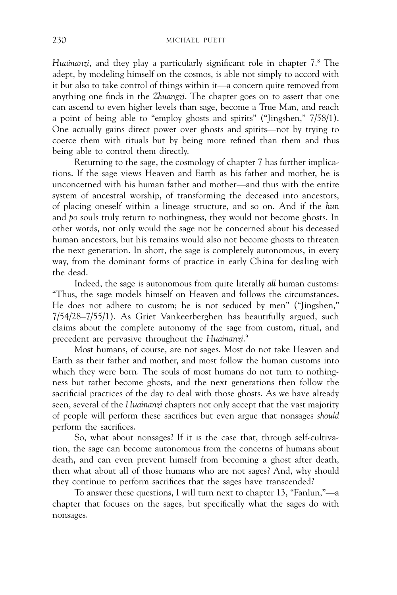Huainanzi, and they play a particularly significant role in chapter 7.8 The adept, by modeling himself on the cosmos, is able not simply to accord with it but also to take control of things within it—a concern quite removed from anything one finds in the *Zhuangzi*. The chapter goes on to assert that one can ascend to even higher levels than sage, become a True Man, and reach a point of being able to "employ ghosts and spirits" ("Jingshen," 7/58/1). One actually gains direct power over ghosts and spirits—not by trying to coerce them with rituals but by being more refined than them and thus being able to control them directly.

Returning to the sage, the cosmology of chapter 7 has further implications. If the sage views Heaven and Earth as his father and mother, he is unconcerned with his human father and mother—and thus with the entire system of ancestral worship, of transforming the deceased into ancestors, of placing oneself within a lineage structure, and so on. And if the *hun* and *po* souls truly return to nothingness, they would not become ghosts. In other words, not only would the sage not be concerned about his deceased human ancestors, but his remains would also not become ghosts to threaten the next generation. In short, the sage is completely autonomous, in every way, from the dominant forms of practice in early China for dealing with the dead.

Indeed, the sage is autonomous from quite literally *all* human customs: "Thus, the sage models himself on Heaven and follows the circumstances. He does not adhere to custom; he is not seduced by men" ("Jingshen," 7/54/28–7/55/1). As Griet Vankeerberghen has beautifully argued, such claims about the complete autonomy of the sage from custom, ritual, and precedent are pervasive throughout the *Huainanzi*. 9

Most humans, of course, are not sages. Most do not take Heaven and Earth as their father and mother, and most follow the human customs into which they were born. The souls of most humans do not turn to nothingness but rather become ghosts, and the next generations then follow the sacrificial practices of the day to deal with those ghosts. As we have already seen, several of the *Huainanzi* chapters not only accept that the vast majority of people will perform these sacrifices but even argue that nonsages *should* perform the sacrifices.

So, what about nonsages? If it is the case that, through self-cultivation, the sage can become autonomous from the concerns of humans about death, and can even prevent himself from becoming a ghost after death, then what about all of those humans who are not sages? And, why should they continue to perform sacrifices that the sages have transcended?

To answer these questions, I will turn next to chapter 13, "Fanlun,"—a chapter that focuses on the sages, but specifically what the sages do with nonsages.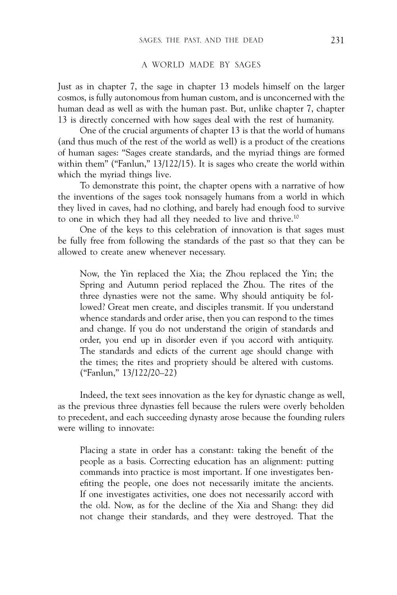#### A WORLD MADE BY SAGES

Just as in chapter 7, the sage in chapter 13 models himself on the larger cosmos, is fully autonomous from human custom, and is unconcerned with the human dead as well as with the human past. But, unlike chapter 7, chapter 13 is directly concerned with how sages deal with the rest of humanity.

One of the crucial arguments of chapter 13 is that the world of humans (and thus much of the rest of the world as well) is a product of the creations of human sages: "Sages create standards, and the myriad things are formed within them" ("Fanlun," 13/122/15). It is sages who create the world within which the myriad things live.

To demonstrate this point, the chapter opens with a narrative of how the inventions of the sages took nonsagely humans from a world in which they lived in caves, had no clothing, and barely had enough food to survive to one in which they had all they needed to live and thrive.10

One of the keys to this celebration of innovation is that sages must be fully free from following the standards of the past so that they can be allowed to create anew whenever necessary.

Now, the Yin replaced the Xia; the Zhou replaced the Yin; the Spring and Autumn period replaced the Zhou. The rites of the three dynasties were not the same. Why should antiquity be followed? Great men create, and disciples transmit. If you understand whence standards and order arise, then you can respond to the times and change. If you do not understand the origin of standards and order, you end up in disorder even if you accord with antiquity. The standards and edicts of the current age should change with the times; the rites and propriety should be altered with customs. ("Fanlun," 13/122/20–22)

Indeed, the text sees innovation as the key for dynastic change as well, as the previous three dynasties fell because the rulers were overly beholden to precedent, and each succeeding dynasty arose because the founding rulers were willing to innovate:

Placing a state in order has a constant: taking the benefit of the people as a basis. Correcting education has an alignment: putting commands into practice is most important. If one investigates benefiting the people, one does not necessarily imitate the ancients. If one investigates activities, one does not necessarily accord with the old. Now, as for the decline of the Xia and Shang: they did not change their standards, and they were destroyed. That the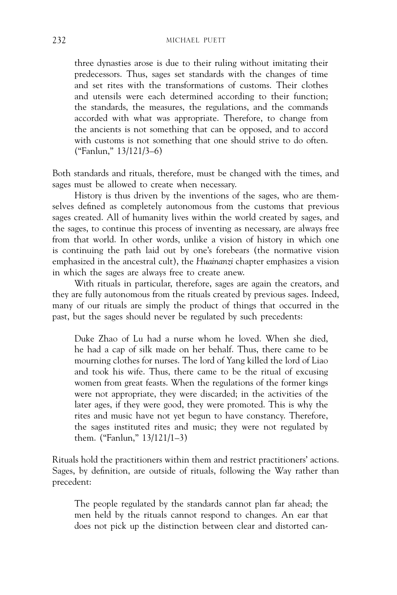three dynasties arose is due to their ruling without imitating their predecessors. Thus, sages set standards with the changes of time and set rites with the transformations of customs. Their clothes and utensils were each determined according to their function; the standards, the measures, the regulations, and the commands accorded with what was appropriate. Therefore, to change from the ancients is not something that can be opposed, and to accord with customs is not something that one should strive to do often. ("Fanlun," 13/121/3–6)

Both standards and rituals, therefore, must be changed with the times, and sages must be allowed to create when necessary.

History is thus driven by the inventions of the sages, who are themselves defined as completely autonomous from the customs that previous sages created. All of humanity lives within the world created by sages, and the sages, to continue this process of inventing as necessary, are always free from that world. In other words, unlike a vision of history in which one is continuing the path laid out by one's forebears (the normative vision emphasized in the ancestral cult), the *Huainanzi* chapter emphasizes a vision in which the sages are always free to create anew.

With rituals in particular, therefore, sages are again the creators, and they are fully autonomous from the rituals created by previous sages. Indeed, many of our rituals are simply the product of things that occurred in the past, but the sages should never be regulated by such precedents:

Duke Zhao of Lu had a nurse whom he loved. When she died, he had a cap of silk made on her behalf. Thus, there came to be mourning clothes for nurses. The lord of Yang killed the lord of Liao and took his wife. Thus, there came to be the ritual of excusing women from great feasts. When the regulations of the former kings were not appropriate, they were discarded; in the activities of the later ages, if they were good, they were promoted. This is why the rites and music have not yet begun to have constancy. Therefore, the sages instituted rites and music; they were not regulated by them. ("Fanlun," 13/121/1–3)

Rituals hold the practitioners within them and restrict practitioners' actions. Sages, by definition, are outside of rituals, following the Way rather than precedent:

The people regulated by the standards cannot plan far ahead; the men held by the rituals cannot respond to changes. An ear that does not pick up the distinction between clear and distorted can-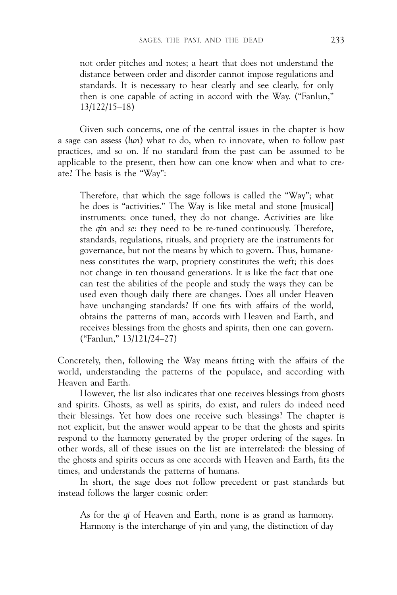not order pitches and notes; a heart that does not understand the distance between order and disorder cannot impose regulations and standards. It is necessary to hear clearly and see clearly, for only then is one capable of acting in accord with the Way. ("Fanlun," 13/122/15–18)

Given such concerns, one of the central issues in the chapter is how a sage can assess (*lun*) what to do, when to innovate, when to follow past practices, and so on. If no standard from the past can be assumed to be applicable to the present, then how can one know when and what to create? The basis is the "Way":

Therefore, that which the sage follows is called the "Way"; what he does is "activities." The Way is like metal and stone [musical] instruments: once tuned, they do not change. Activities are like the *qin* and *se*: they need to be re-tuned continuously. Therefore, standards, regulations, rituals, and propriety are the instruments for governance, but not the means by which to govern. Thus, humaneness constitutes the warp, propriety constitutes the weft; this does not change in ten thousand generations. It is like the fact that one can test the abilities of the people and study the ways they can be used even though daily there are changes. Does all under Heaven have unchanging standards? If one fits with affairs of the world, obtains the patterns of man, accords with Heaven and Earth, and receives blessings from the ghosts and spirits, then one can govern. ("Fanlun," 13/121/24–27)

Concretely, then, following the Way means fitting with the affairs of the world, understanding the patterns of the populace, and according with Heaven and Earth.

However, the list also indicates that one receives blessings from ghosts and spirits. Ghosts, as well as spirits, do exist, and rulers do indeed need their blessings. Yet how does one receive such blessings? The chapter is not explicit, but the answer would appear to be that the ghosts and spirits respond to the harmony generated by the proper ordering of the sages. In other words, all of these issues on the list are interrelated: the blessing of the ghosts and spirits occurs as one accords with Heaven and Earth, fits the times, and understands the patterns of humans.

In short, the sage does not follow precedent or past standards but instead follows the larger cosmic order:

As for the *qi* of Heaven and Earth, none is as grand as harmony. Harmony is the interchange of yin and yang, the distinction of day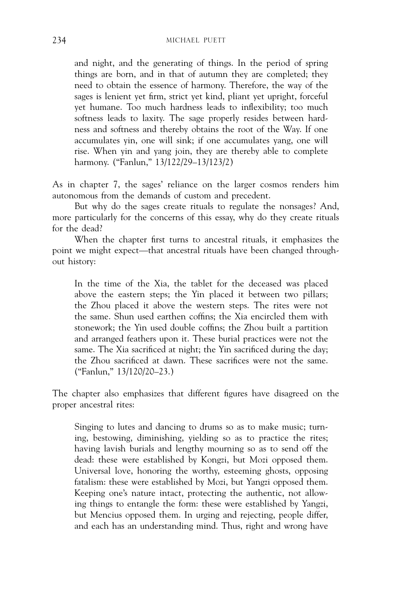and night, and the generating of things. In the period of spring things are born, and in that of autumn they are completed; they need to obtain the essence of harmony. Therefore, the way of the sages is lenient yet firm, strict yet kind, pliant yet upright, forceful yet humane. Too much hardness leads to inflexibility; too much softness leads to laxity. The sage properly resides between hardness and softness and thereby obtains the root of the Way. If one accumulates yin, one will sink; if one accumulates yang, one will rise. When yin and yang join, they are thereby able to complete harmony. ("Fanlun," 13/122/29–13/123/2)

As in chapter 7, the sages' reliance on the larger cosmos renders him autonomous from the demands of custom and precedent.

But why do the sages create rituals to regulate the nonsages? And, more particularly for the concerns of this essay, why do they create rituals for the dead?

When the chapter first turns to ancestral rituals, it emphasizes the point we might expect—that ancestral rituals have been changed throughout history:

In the time of the Xia, the tablet for the deceased was placed above the eastern steps; the Yin placed it between two pillars; the Zhou placed it above the western steps. The rites were not the same. Shun used earthen coffins; the Xia encircled them with stonework; the Yin used double coffins; the Zhou built a partition and arranged feathers upon it. These burial practices were not the same. The Xia sacrificed at night; the Yin sacrificed during the day; the Zhou sacrificed at dawn. These sacrifices were not the same. ("Fanlun," 13/120/20–23.)

The chapter also emphasizes that different figures have disagreed on the proper ancestral rites:

Singing to lutes and dancing to drums so as to make music; turning, bestowing, diminishing, yielding so as to practice the rites; having lavish burials and lengthy mourning so as to send off the dead: these were established by Kongzi, but Mozi opposed them. Universal love, honoring the worthy, esteeming ghosts, opposing fatalism: these were established by Mozi, but Yangzi opposed them. Keeping one's nature intact, protecting the authentic, not allowing things to entangle the form: these were established by Yangzi, but Mencius opposed them. In urging and rejecting, people differ, and each has an understanding mind. Thus, right and wrong have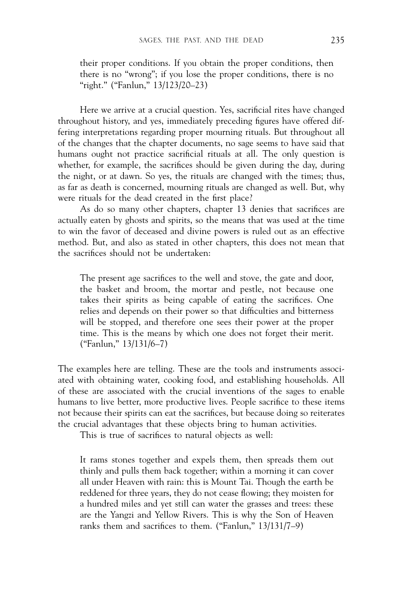their proper conditions. If you obtain the proper conditions, then there is no "wrong"; if you lose the proper conditions, there is no "right." ("Fanlun," 13/123/20–23)

Here we arrive at a crucial question. Yes, sacrificial rites have changed throughout history, and yes, immediately preceding figures have offered differing interpretations regarding proper mourning rituals. But throughout all of the changes that the chapter documents, no sage seems to have said that humans ought not practice sacrificial rituals at all. The only question is whether, for example, the sacrifices should be given during the day, during the night, or at dawn. So yes, the rituals are changed with the times; thus, as far as death is concerned, mourning rituals are changed as well. But, why were rituals for the dead created in the first place?

As do so many other chapters, chapter 13 denies that sacrifices are actually eaten by ghosts and spirits, so the means that was used at the time to win the favor of deceased and divine powers is ruled out as an effective method. But, and also as stated in other chapters, this does not mean that the sacrifices should not be undertaken:

The present age sacrifices to the well and stove, the gate and door, the basket and broom, the mortar and pestle, not because one takes their spirits as being capable of eating the sacrifices. One relies and depends on their power so that difficulties and bitterness will be stopped, and therefore one sees their power at the proper time. This is the means by which one does not forget their merit. ("Fanlun," 13/131/6–7)

The examples here are telling. These are the tools and instruments associated with obtaining water, cooking food, and establishing households. All of these are associated with the crucial inventions of the sages to enable humans to live better, more productive lives. People sacrifice to these items not because their spirits can eat the sacrifices, but because doing so reiterates the crucial advantages that these objects bring to human activities.

This is true of sacrifices to natural objects as well:

It rams stones together and expels them, then spreads them out thinly and pulls them back together; within a morning it can cover all under Heaven with rain: this is Mount Tai. Though the earth be reddened for three years, they do not cease flowing; they moisten for a hundred miles and yet still can water the grasses and trees: these are the Yangzi and Yellow Rivers. This is why the Son of Heaven ranks them and sacrifices to them. ("Fanlun,"  $13/131/7-9$ )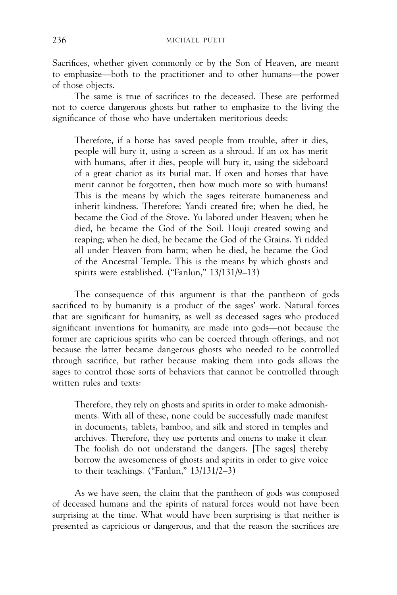Sacrifices, whether given commonly or by the Son of Heaven, are meant to emphasize—both to the practitioner and to other humans—the power of those objects.

The same is true of sacrifices to the deceased. These are performed not to coerce dangerous ghosts but rather to emphasize to the living the significance of those who have undertaken meritorious deeds:

Therefore, if a horse has saved people from trouble, after it dies, people will bury it, using a screen as a shroud. If an ox has merit with humans, after it dies, people will bury it, using the sideboard of a great chariot as its burial mat. If oxen and horses that have merit cannot be forgotten, then how much more so with humans! This is the means by which the sages reiterate humaneness and inherit kindness. Therefore: Yandi created fire; when he died, he became the God of the Stove. Yu labored under Heaven; when he died, he became the God of the Soil. Houji created sowing and reaping; when he died, he became the God of the Grains. Yi ridded all under Heaven from harm; when he died, he became the God of the Ancestral Temple. This is the means by which ghosts and spirits were established. ("Fanlun," 13/131/9–13)

The consequence of this argument is that the pantheon of gods sacrificed to by humanity is a product of the sages' work. Natural forces that are significant for humanity, as well as deceased sages who produced significant inventions for humanity, are made into gods—not because the former are capricious spirits who can be coerced through offerings, and not because the latter became dangerous ghosts who needed to be controlled through sacrifice, but rather because making them into gods allows the sages to control those sorts of behaviors that cannot be controlled through written rules and texts:

Therefore, they rely on ghosts and spirits in order to make admonishments. With all of these, none could be successfully made manifest in documents, tablets, bamboo, and silk and stored in temples and archives. Therefore, they use portents and omens to make it clear. The foolish do not understand the dangers. [The sages] thereby borrow the awesomeness of ghosts and spirits in order to give voice to their teachings. ("Fanlun," 13/131/2–3)

As we have seen, the claim that the pantheon of gods was composed of deceased humans and the spirits of natural forces would not have been surprising at the time. What would have been surprising is that neither is presented as capricious or dangerous, and that the reason the sacrifices are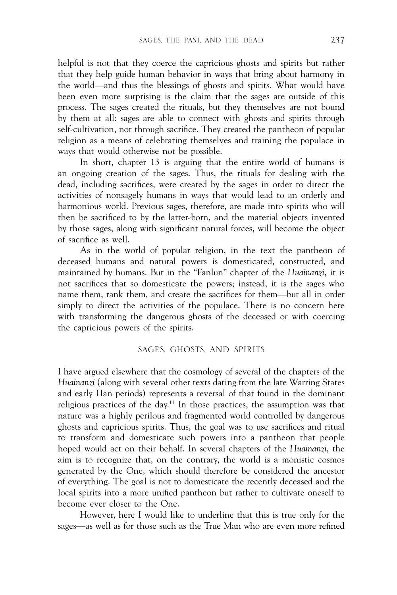helpful is not that they coerce the capricious ghosts and spirits but rather that they help guide human behavior in ways that bring about harmony in the world—and thus the blessings of ghosts and spirits. What would have been even more surprising is the claim that the sages are outside of this process. The sages created the rituals, but they themselves are not bound by them at all: sages are able to connect with ghosts and spirits through self-cultivation, not through sacrifice. They created the pantheon of popular religion as a means of celebrating themselves and training the populace in ways that would otherwise not be possible.

In short, chapter 13 is arguing that the entire world of humans is an ongoing creation of the sages. Thus, the rituals for dealing with the dead, including sacrifices, were created by the sages in order to direct the activities of nonsagely humans in ways that would lead to an orderly and harmonious world. Previous sages, therefore, are made into spirits who will then be sacrificed to by the latter-born, and the material objects invented by those sages, along with significant natural forces, will become the object of sacrifice as well.

As in the world of popular religion, in the text the pantheon of deceased humans and natural powers is domesticated, constructed, and maintained by humans. But in the "Fanlun" chapter of the *Huainanzi*, it is not sacrifices that so domesticate the powers; instead, it is the sages who name them, rank them, and create the sacrifices for them—but all in order simply to direct the activities of the populace. There is no concern here with transforming the dangerous ghosts of the deceased or with coercing the capricious powers of the spirits.

#### SAGES, GHOSTS, AND SPIRITS

I have argued elsewhere that the cosmology of several of the chapters of the *Huainanzi* (along with several other texts dating from the late Warring States and early Han periods) represents a reversal of that found in the dominant religious practices of the day.11 In those practices, the assumption was that nature was a highly perilous and fragmented world controlled by dangerous ghosts and capricious spirits. Thus, the goal was to use sacrifices and ritual to transform and domesticate such powers into a pantheon that people hoped would act on their behalf. In several chapters of the *Huainanzi*, the aim is to recognize that, on the contrary, the world is a monistic cosmos generated by the One, which should therefore be considered the ancestor of everything. The goal is not to domesticate the recently deceased and the local spirits into a more unified pantheon but rather to cultivate oneself to become ever closer to the One.

However, here I would like to underline that this is true only for the sages—as well as for those such as the True Man who are even more refined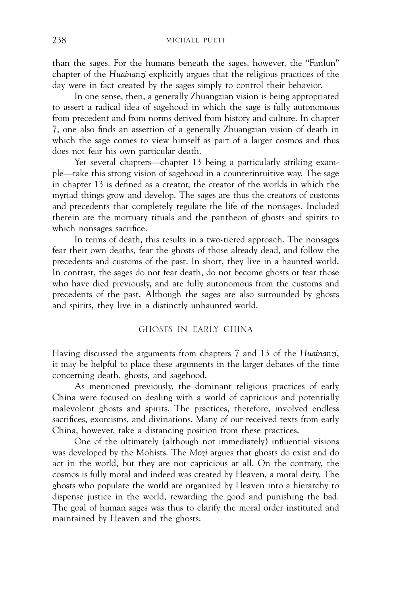than the sages. For the humans beneath the sages, however, the "Fanlun" chapter of the *Huainanzi* explicitly argues that the religious practices of the day were in fact created by the sages simply to control their behavior.

In one sense, then, a generally Zhuangzian vision is being appropriated to assert a radical idea of sagehood in which the sage is fully autonomous from precedent and from norms derived from history and culture. In chapter 7, one also finds an assertion of a generally Zhuangzian vision of death in which the sage comes to view himself as part of a larger cosmos and thus does not fear his own particular death.

Yet several chapters—chapter 13 being a particularly striking example—take this strong vision of sagehood in a counterintuitive way. The sage in chapter 13 is defined as a creator, the creator of the worlds in which the myriad things grow and develop. The sages are thus the creators of customs and precedents that completely regulate the life of the nonsages. Included therein are the mortuary rituals and the pantheon of ghosts and spirits to which nonsages sacrifice.

In terms of death, this results in a two-tiered approach. The nonsages fear their own deaths, fear the ghosts of those already dead, and follow the precedents and customs of the past. In short, they live in a haunted world. In contrast, the sages do not fear death, do not become ghosts or fear those who have died previously, and are fully autonomous from the customs and precedents of the past. Although the sages are also surrounded by ghosts and spirits, they live in a distinctly unhaunted world.

#### GHOSTS IN EARLY CHINA

Having discussed the arguments from chapters 7 and 13 of the *Huainanzi*, it may be helpful to place these arguments in the larger debates of the time concerning death, ghosts, and sagehood.

As mentioned previously, the dominant religious practices of early China were focused on dealing with a world of capricious and potentially malevolent ghosts and spirits. The practices, therefore, involved endless sacrifices, exorcisms, and divinations. Many of our received texts from early China, however, take a distancing position from these practices.

One of the ultimately (although not immediately) influential visions was developed by the Mohists. The *Mozi* argues that ghosts do exist and do act in the world, but they are not capricious at all. On the contrary, the cosmos is fully moral and indeed was created by Heaven, a moral deity. The ghosts who populate the world are organized by Heaven into a hierarchy to dispense justice in the world, rewarding the good and punishing the bad. The goal of human sages was thus to clarify the moral order instituted and maintained by Heaven and the ghosts: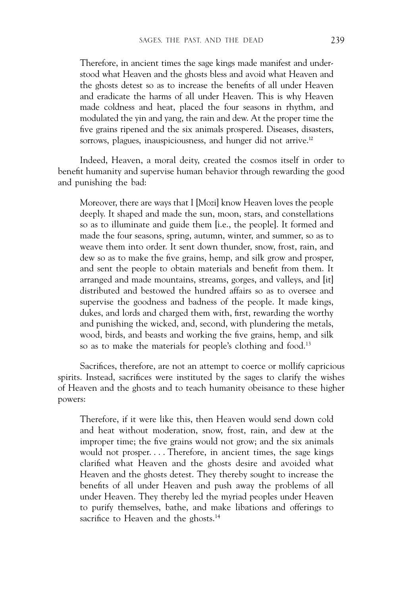Therefore, in ancient times the sage kings made manifest and understood what Heaven and the ghosts bless and avoid what Heaven and the ghosts detest so as to increase the benefits of all under Heaven and eradicate the harms of all under Heaven. This is why Heaven made coldness and heat, placed the four seasons in rhythm, and modulated the yin and yang, the rain and dew. At the proper time the five grains ripened and the six animals prospered. Diseases, disasters, sorrows, plagues, inauspiciousness, and hunger did not arrive.<sup>12</sup>

Indeed, Heaven, a moral deity, created the cosmos itself in order to benefit humanity and supervise human behavior through rewarding the good and punishing the bad:

Moreover, there are ways that I [Mozi] know Heaven loves the people deeply. It shaped and made the sun, moon, stars, and constellations so as to illuminate and guide them [i.e., the people]. It formed and made the four seasons, spring, autumn, winter, and summer, so as to weave them into order. It sent down thunder, snow, frost, rain, and dew so as to make the five grains, hemp, and silk grow and prosper, and sent the people to obtain materials and benefit from them. It arranged and made mountains, streams, gorges, and valleys, and [it] distributed and bestowed the hundred affairs so as to oversee and supervise the goodness and badness of the people. It made kings, dukes, and lords and charged them with, first, rewarding the worthy and punishing the wicked, and, second, with plundering the metals, wood, birds, and beasts and working the five grains, hemp, and silk so as to make the materials for people's clothing and food.<sup>13</sup>

Sacrifices, therefore, are not an attempt to coerce or mollify capricious spirits. Instead, sacrifices were instituted by the sages to clarify the wishes of Heaven and the ghosts and to teach humanity obeisance to these higher powers:

Therefore, if it were like this, then Heaven would send down cold and heat without moderation, snow, frost, rain, and dew at the improper time; the five grains would not grow; and the six animals would not prosper. . . . Therefore, in ancient times, the sage kings clarified what Heaven and the ghosts desire and avoided what Heaven and the ghosts detest. They thereby sought to increase the benefits of all under Heaven and push away the problems of all under Heaven. They thereby led the myriad peoples under Heaven to purify themselves, bathe, and make libations and offerings to sacrifice to Heaven and the ghosts.<sup>14</sup>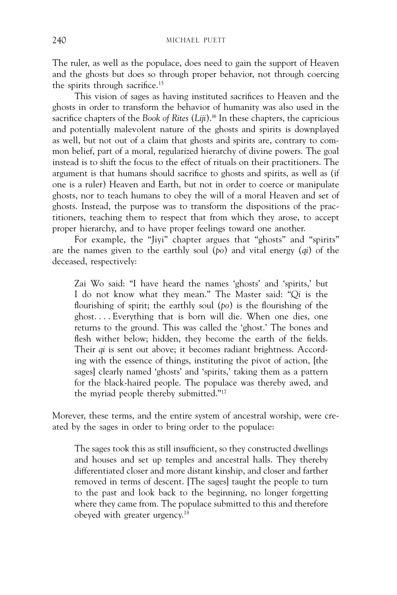The ruler, as well as the populace, does need to gain the support of Heaven and the ghosts but does so through proper behavior, not through coercing the spirits through sacrifice.<sup>15</sup>

This vision of sages as having instituted sacrifices to Heaven and the ghosts in order to transform the behavior of humanity was also used in the sacrifice chapters of the *Book of Rites* (*Liji*).<sup>16</sup> In these chapters, the capricious and potentially malevolent nature of the ghosts and spirits is downplayed as well, but not out of a claim that ghosts and spirits are, contrary to common belief, part of a moral, regularized hierarchy of divine powers. The goal instead is to shift the focus to the effect of rituals on their practitioners. The argument is that humans should sacrifice to ghosts and spirits, as well as (if one is a ruler) Heaven and Earth, but not in order to coerce or manipulate ghosts, nor to teach humans to obey the will of a moral Heaven and set of ghosts. Instead, the purpose was to transform the dispositions of the practitioners, teaching them to respect that from which they arose, to accept proper hierarchy, and to have proper feelings toward one another.

For example, the "Jiyi" chapter argues that "ghosts" and "spirits" are the names given to the earthly soul (*po*) and vital energy (*qi*) of the deceased, respectively:

Zai Wo said: "I have heard the names 'ghosts' and 'spirits,' but I do not know what they mean." The Master said: "*Qi* is the flourishing of spirit; the earthly soul (po) is the flourishing of the ghost. . . . Everything that is born will die. When one dies, one returns to the ground. This was called the 'ghost.' The bones and flesh wither below; hidden, they become the earth of the fields. Their *qi* is sent out above; it becomes radiant brightness. According with the essence of things, instituting the pivot of action, [the sages] clearly named 'ghosts' and 'spirits,' taking them as a pattern for the black-haired people. The populace was thereby awed, and the myriad people thereby submitted."17

Morever, these terms, and the entire system of ancestral worship, were created by the sages in order to bring order to the populace:

The sages took this as still insufficient, so they constructed dwellings and houses and set up temples and ancestral halls. They thereby differentiated closer and more distant kinship, and closer and farther removed in terms of descent. [The sages] taught the people to turn to the past and look back to the beginning, no longer forgetting where they came from. The populace submitted to this and therefore obeyed with greater urgency.18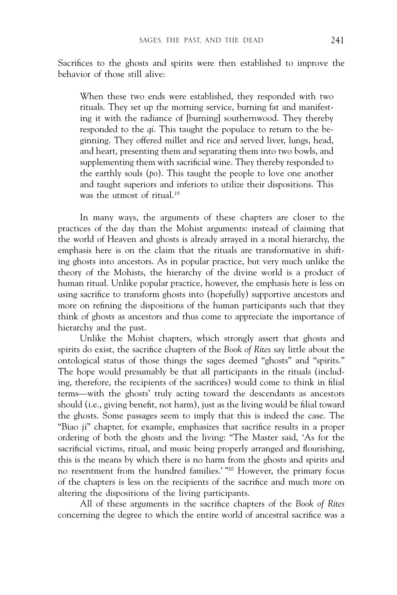Sacrifices to the ghosts and spirits were then established to improve the behavior of those still alive:

When these two ends were established, they responded with two rituals. They set up the morning service, burning fat and manifesting it with the radiance of [burning] southernwood. They thereby responded to the *qi*. This taught the populace to return to the beginning. They offered millet and rice and served liver, lungs, head, and heart, presenting them and separating them into two bowls, and supplementing them with sacrificial wine. They thereby responded to the earthly souls (*po*). This taught the people to love one another and taught superiors and inferiors to utilize their dispositions. This was the utmost of ritual.19

In many ways, the arguments of these chapters are closer to the practices of the day than the Mohist arguments: instead of claiming that the world of Heaven and ghosts is already arrayed in a moral hierarchy, the emphasis here is on the claim that the rituals are transformative in shifting ghosts into ancestors. As in popular practice, but very much unlike the theory of the Mohists, the hierarchy of the divine world is a product of human ritual. Unlike popular practice, however, the emphasis here is less on using sacrifice to transform ghosts into (hopefully) supportive ancestors and more on refining the dispositions of the human participants such that they think of ghosts as ancestors and thus come to appreciate the importance of hierarchy and the past.

Unlike the Mohist chapters, which strongly assert that ghosts and spirits do exist, the sacrifice chapters of the *Book of Rites* say little about the ontological status of those things the sages deemed "ghosts" and "spirits." The hope would presumably be that all participants in the rituals (including, therefore, the recipients of the sacrifices) would come to think in filial terms—with the ghosts' truly acting toward the descendants as ancestors should (i.e., giving benefit, not harm), just as the living would be filial toward the ghosts. Some passages seem to imply that this is indeed the case. The "Biao ji" chapter, for example, emphasizes that sacrifice results in a proper ordering of both the ghosts and the living: "The Master said, 'As for the sacrificial victims, ritual, and music being properly arranged and flourishing, this is the means by which there is no harm from the ghosts and spirits and no resentment from the hundred families.' "<sup>20</sup> However, the primary focus of the chapters is less on the recipients of the sacrifice and much more on altering the dispositions of the living participants.

All of these arguments in the sacrifice chapters of the *Book of Rites* concerning the degree to which the entire world of ancestral sacrifice was a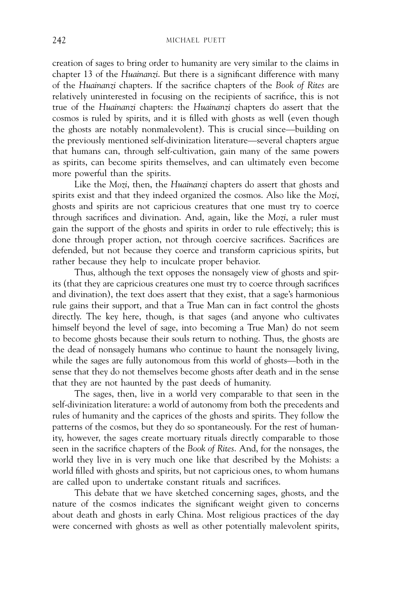creation of sages to bring order to humanity are very similar to the claims in chapter 13 of the *Huainanzi*. But there is a significant difference with many of the *Huainanzi* chapters. If the sacrifice chapters of the *Book of Rites* are relatively uninterested in focusing on the recipients of sacrifice, this is not true of the *Huainanzi* chapters: the *Huainanzi* chapters do assert that the cosmos is ruled by spirits, and it is filled with ghosts as well (even though the ghosts are notably nonmalevolent). This is crucial since—building on the previously mentioned self-divinization literature—several chapters argue that humans can, through self-cultivation, gain many of the same powers as spirits, can become spirits themselves, and can ultimately even become more powerful than the spirits.

Like the *Mozi*, then, the *Huainanzi* chapters do assert that ghosts and spirits exist and that they indeed organized the cosmos. Also like the *Mozi*, ghosts and spirits are not capricious creatures that one must try to coerce through sacrifices and divination. And, again, like the *Mozi*, a ruler must gain the support of the ghosts and spirits in order to rule effectively; this is done through proper action, not through coercive sacrifices. Sacrifices are defended, but not because they coerce and transform capricious spirits, but rather because they help to inculcate proper behavior.

Thus, although the text opposes the nonsagely view of ghosts and spirits (that they are capricious creatures one must try to coerce through sacrifices and divination), the text does assert that they exist, that a sage's harmonious rule gains their support, and that a True Man can in fact control the ghosts directly. The key here, though, is that sages (and anyone who cultivates himself beyond the level of sage, into becoming a True Man) do not seem to become ghosts because their souls return to nothing. Thus, the ghosts are the dead of nonsagely humans who continue to haunt the nonsagely living, while the sages are fully autonomous from this world of ghosts—both in the sense that they do not themselves become ghosts after death and in the sense that they are not haunted by the past deeds of humanity.

The sages, then, live in a world very comparable to that seen in the self-divinization literature: a world of autonomy from both the precedents and rules of humanity and the caprices of the ghosts and spirits. They follow the patterns of the cosmos, but they do so spontaneously. For the rest of humanity, however, the sages create mortuary rituals directly comparable to those seen in the sacrifice chapters of the *Book of Rites*. And, for the nonsages, the world they live in is very much one like that described by the Mohists: a world filled with ghosts and spirits, but not capricious ones, to whom humans are called upon to undertake constant rituals and sacrifices.

This debate that we have sketched concerning sages, ghosts, and the nature of the cosmos indicates the significant weight given to concerns about death and ghosts in early China. Most religious practices of the day were concerned with ghosts as well as other potentially malevolent spirits,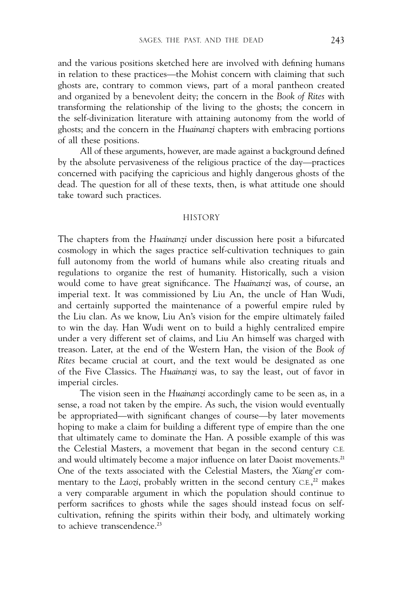and the various positions sketched here are involved with defining humans in relation to these practices—the Mohist concern with claiming that such ghosts are, contrary to common views, part of a moral pantheon created and organized by a benevolent deity; the concern in the *Book of Rites* with transforming the relationship of the living to the ghosts; the concern in the self-divinization literature with attaining autonomy from the world of ghosts; and the concern in the *Huainanzi* chapters with embracing portions of all these positions.

All of these arguments, however, are made against a background defined by the absolute pervasiveness of the religious practice of the day—practices concerned with pacifying the capricious and highly dangerous ghosts of the dead. The question for all of these texts, then, is what attitude one should take toward such practices.

#### HISTORY

The chapters from the *Huainanzi* under discussion here posit a bifurcated cosmology in which the sages practice self-cultivation techniques to gain full autonomy from the world of humans while also creating rituals and regulations to organize the rest of humanity. Historically, such a vision would come to have great significance. The *Huainanzi* was, of course, an imperial text. It was commissioned by Liu An, the uncle of Han Wudi, and certainly supported the maintenance of a powerful empire ruled by the Liu clan. As we know, Liu An's vision for the empire ultimately failed to win the day. Han Wudi went on to build a highly centralized empire under a very different set of claims, and Liu An himself was charged with treason. Later, at the end of the Western Han, the vision of the *Book of Rites* became crucial at court, and the text would be designated as one of the Five Classics. The *Huainanzi* was, to say the least, out of favor in imperial circles.

The vision seen in the *Huainanzi* accordingly came to be seen as, in a sense, a road not taken by the empire. As such, the vision would eventually be appropriated—with significant changes of course—by later movements hoping to make a claim for building a different type of empire than the one that ultimately came to dominate the Han. A possible example of this was the Celestial Masters, a movement that began in the second century C.E. and would ultimately become a major influence on later Daoist movements.<sup>21</sup> One of the texts associated with the Celestial Masters, the *Xiang'er* commentary to the *Laozi*, probably written in the second century C.E.,<sup>22</sup> makes a very comparable argument in which the population should continue to perform sacrifices to ghosts while the sages should instead focus on selfcultivation, refining the spirits within their body, and ultimately working to achieve transcendence.<sup>23</sup>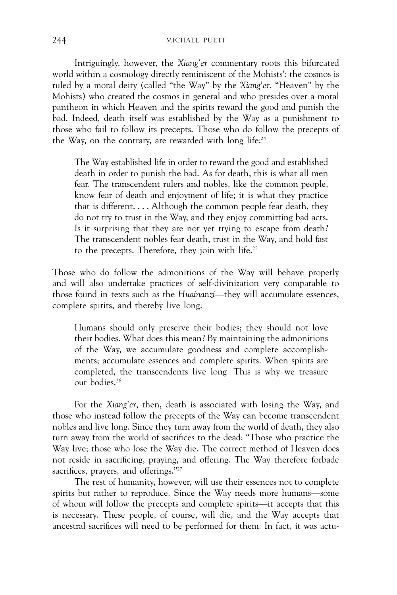Intriguingly, however, the *Xiang'er* commentary roots this bifurcated world within a cosmology directly reminiscent of the Mohists': the cosmos is ruled by a moral deity (called "the Way" by the *Xiang'er*, "Heaven" by the Mohists) who created the cosmos in general and who presides over a moral pantheon in which Heaven and the spirits reward the good and punish the bad. Indeed, death itself was established by the Way as a punishment to those who fail to follow its precepts. Those who do follow the precepts of the Way, on the contrary, are rewarded with long life:<sup>24</sup>

The Way established life in order to reward the good and established death in order to punish the bad. As for death, this is what all men fear. The transcendent rulers and nobles, like the common people, know fear of death and enjoyment of life; it is what they practice that is different. . . . Although the common people fear death, they do not try to trust in the Way, and they enjoy committing bad acts. Is it surprising that they are not yet trying to escape from death? The transcendent nobles fear death, trust in the Way, and hold fast to the precepts. Therefore, they join with life.<sup>25</sup>

Those who do follow the admonitions of the Way will behave properly and will also undertake practices of self-divinization very comparable to those found in texts such as the *Huainanzi*—they will accumulate essences, complete spirits, and thereby live long:

Humans should only preserve their bodies; they should not love their bodies. What does this mean? By maintaining the admonitions of the Way, we accumulate goodness and complete accomplishments; accumulate essences and complete spirits. When spirits are completed, the transcendents live long. This is why we treasure our bodies.26

For the *Xiang'er*, then, death is associated with losing the Way, and those who instead follow the precepts of the Way can become transcendent nobles and live long. Since they turn away from the world of death, they also turn away from the world of sacrifices to the dead: "Those who practice the Way live; those who lose the Way die. The correct method of Heaven does not reside in sacrificing, praying, and offering. The Way therefore forbade sacrifices, prayers, and offerings."27

The rest of humanity, however, will use their essences not to complete spirits but rather to reproduce. Since the Way needs more humans—some of whom will follow the precepts and complete spirits—it accepts that this is necessary. These people, of course, will die, and the Way accepts that ancestral sacrifices will need to be performed for them. In fact, it was actu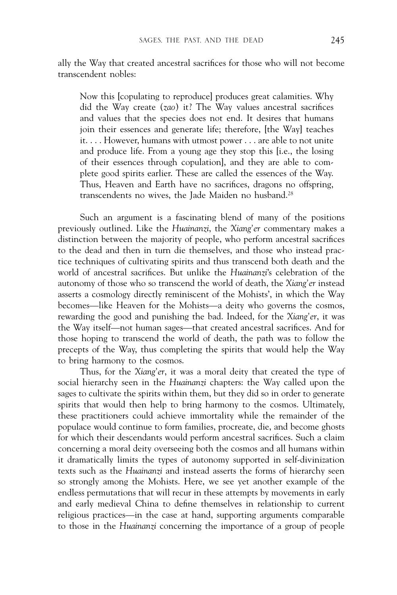ally the Way that created ancestral sacrifices for those who will not become transcendent nobles:

Now this [copulating to reproduce] produces great calamities. Why did the Way create (*zao*) it? The Way values ancestral sacrifices and values that the species does not end. It desires that humans join their essences and generate life; therefore, [the Way] teaches it. . . . However, humans with utmost power . . . are able to not unite and produce life. From a young age they stop this [i.e., the losing of their essences through copulation], and they are able to complete good spirits earlier. These are called the essences of the Way. Thus, Heaven and Earth have no sacrifices, dragons no offspring, transcendents no wives, the Jade Maiden no husband.<sup>28</sup>

Such an argument is a fascinating blend of many of the positions previously outlined. Like the *Huainanzi*, the *Xiang'er* commentary makes a distinction between the majority of people, who perform ancestral sacrifices to the dead and then in turn die themselves, and those who instead practice techniques of cultivating spirits and thus transcend both death and the world of ancestral sacrifices. But unlike the *Huainanzi's* celebration of the autonomy of those who so transcend the world of death, the *Xiang'er* instead asserts a cosmology directly reminiscent of the Mohists', in which the Way becomes—like Heaven for the Mohists—a deity who governs the cosmos, rewarding the good and punishing the bad. Indeed, for the *Xiang'er*, it was the Way itself—not human sages—that created ancestral sacrifices. And for those hoping to transcend the world of death, the path was to follow the precepts of the Way, thus completing the spirits that would help the Way to bring harmony to the cosmos.

Thus, for the *Xiang'er*, it was a moral deity that created the type of social hierarchy seen in the *Huainanzi* chapters: the Way called upon the sages to cultivate the spirits within them, but they did so in order to generate spirits that would then help to bring harmony to the cosmos. Ultimately, these practitioners could achieve immortality while the remainder of the populace would continue to form families, procreate, die, and become ghosts for which their descendants would perform ancestral sacrifices. Such a claim concerning a moral deity overseeing both the cosmos and all humans within it dramatically limits the types of autonomy supported in self-divinization texts such as the *Huainanzi* and instead asserts the forms of hierarchy seen so strongly among the Mohists. Here, we see yet another example of the endless permutations that will recur in these attempts by movements in early and early medieval China to define themselves in relationship to current religious practices—in the case at hand, supporting arguments comparable to those in the *Huainanzi* concerning the importance of a group of people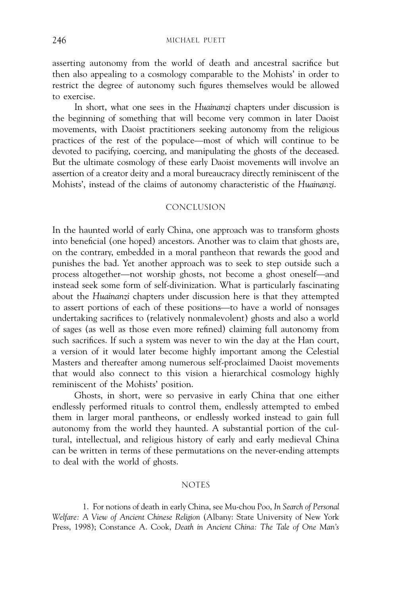asserting autonomy from the world of death and ancestral sacrifice but then also appealing to a cosmology comparable to the Mohists' in order to restrict the degree of autonomy such figures themselves would be allowed to exercise.

In short, what one sees in the *Huainanzi* chapters under discussion is the beginning of something that will become very common in later Daoist movements, with Daoist practitioners seeking autonomy from the religious practices of the rest of the populace—most of which will continue to be devoted to pacifying, coercing, and manipulating the ghosts of the deceased. But the ultimate cosmology of these early Daoist movements will involve an assertion of a creator deity and a moral bureaucracy directly reminiscent of the Mohists', instead of the claims of autonomy characteristic of the *Huainanzi*.

#### CONCLUSION

In the haunted world of early China, one approach was to transform ghosts into beneficial (one hoped) ancestors. Another was to claim that ghosts are, on the contrary, embedded in a moral pantheon that rewards the good and punishes the bad. Yet another approach was to seek to step outside such a process altogether—not worship ghosts, not become a ghost oneself—and instead seek some form of self-divinization. What is particularly fascinating about the *Huainanzi* chapters under discussion here is that they attempted to assert portions of each of these positions—to have a world of nonsages undertaking sacrifices to (relatively nonmalevolent) ghosts and also a world of sages (as well as those even more refined) claiming full autonomy from such sacrifices. If such a system was never to win the day at the Han court, a version of it would later become highly important among the Celestial Masters and thereafter among numerous self-proclaimed Daoist movements that would also connect to this vision a hierarchical cosmology highly reminiscent of the Mohists' position.

Ghosts, in short, were so pervasive in early China that one either endlessly performed rituals to control them, endlessly attempted to embed them in larger moral pantheons, or endlessly worked instead to gain full autonomy from the world they haunted. A substantial portion of the cultural, intellectual, and religious history of early and early medieval China can be written in terms of these permutations on the never-ending attempts to deal with the world of ghosts.

#### **NOTES**

 1. For notions of death in early China, see Mu-chou Poo, *In Search of Personal Welfare: A View of Ancient Chinese Religion* (Albany: State University of New York Press, 1998); Constance A. Cook, *Death in Ancient China: The Tale of One Man's*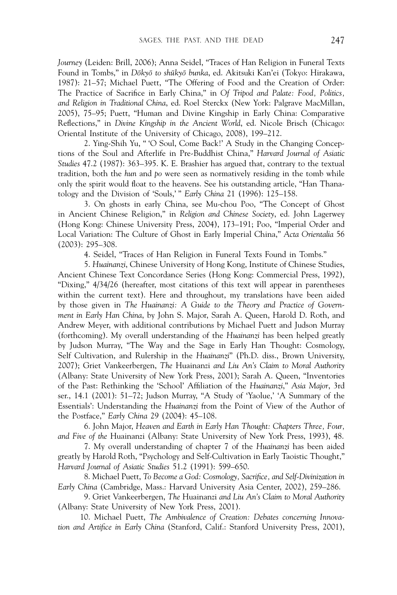*Journey* (Leiden: Brill, 2006); Anna Seidel, "Traces of Han Religion in Funeral Texts Found in Tombs," in *Dōkyō to shūkyō bunka*, ed. Akitsuki Kan'ei (Tokyo: Hirakawa, 1987): 21–57; Michael Puett, "The Offering of Food and the Creation of Order: The Practice of Sacrifice in Early China," in Of Tripod and Palate: Food, Politics, *and Religion in Traditional China*, ed. Roel Sterckx (New York: Palgrave MacMillan, 2005), 75–95; Puett, "Human and Divine Kingship in Early China: Comparative Reflections," in *Divine Kingship in the Ancient World*, ed. Nicole Brisch (Chicago: Oriental Institute of the University of Chicago, 2008), 199–212.

 2. Ying-Shih Yu, " 'O Soul, Come Back!' A Study in the Changing Conceptions of the Soul and Afterlife in Pre-Buddhist China," *Harvard Journal of Asiatic Studies* 47.2 (1987): 363–395. K. E. Brashier has argued that, contrary to the textual tradition, both the *hun* and *po* were seen as normatively residing in the tomb while only the spirit would float to the heavens. See his outstanding article, "Han Thanatology and the Division of 'Souls,' " *Early China* 21 (1996): 125–158.

 3. On ghosts in early China, see Mu-chou Poo, "The Concept of Ghost in Ancient Chinese Religion," in *Religion and Chinese Society*, ed. John Lagerwey (Hong Kong: Chinese University Press, 2004), 173–191; Poo, "Imperial Order and Local Variation: The Culture of Ghost in Early Imperial China," *Acta Orientalia* 56 (2003): 295–308.

4. Seidel, "Traces of Han Religion in Funeral Texts Found in Tombs."

 5. *Huainanzi*, Chinese University of Hong Kong, Institute of Chinese Studies, Ancient Chinese Text Concordance Series (Hong Kong: Commercial Press, 1992), "Dixing," 4/34/26 (hereafter, most citations of this text will appear in parentheses within the current text). Here and throughout, my translations have been aided by those given in *The Huainanzi: A Guide to the Theory and Practice of Government in Early Han China*, by John S. Major, Sarah A. Queen, Harold D. Roth, and Andrew Meyer, with additional contributions by Michael Puett and Judson Murray (forthcoming). My overall understanding of the *Huainanzi* has been helped greatly by Judson Murray, "The Way and the Sage in Early Han Thought: Cosmology, Self Cultivation, and Rulership in the *Huainanzi*" (Ph.D. diss., Brown University, 2007); Griet Vankeerbergen, *The* Huainanzi *and Liu An's Claim to Moral Authority* (Albany: State University of New York Press, 2001); Sarah A. Queen, "Inventories of the Past: Rethinking the 'School' Affi liation of the *Huainanzi*," *Asia Major*, 3rd ser., 14.1 (2001): 51–72; Judson Murray, "A Study of 'Yaolue,' 'A Summary of the Essentials': Understanding the *Huainanzi* from the Point of View of the Author of the Postface," *Early China* 29 (2004): 45–108.

 6. John Major, *Heaven and Earth in Early Han Thought: Chapters Three, Four, and Five of the* Huainanzi (Albany: State University of New York Press, 1993), 48.

 7. My overall understanding of chapter 7 of the *Huainanzi* has been aided greatly by Harold Roth, "Psychology and Self-Cultivation in Early Taoistic Thought," *Harvard Journal of Asiatic Studies* 51.2 (1991): 599–650.

8. Michael Puett, *To Become a God: Cosmology, Sacrifice, and Self-Divinization in Early China* (Cambridge, Mass.: Harvard University Asia Center, 2002), 259–286.

 9. Griet Vankeerbergen, *The* Huainanzi *and Liu An's Claim to Moral Authority* (Albany: State University of New York Press, 2001).

10. Michael Puett, *The Ambivalence of Creation: Debates concerning Innova*tion and Artifice in Early China (Stanford, Calif.: Stanford University Press, 2001),